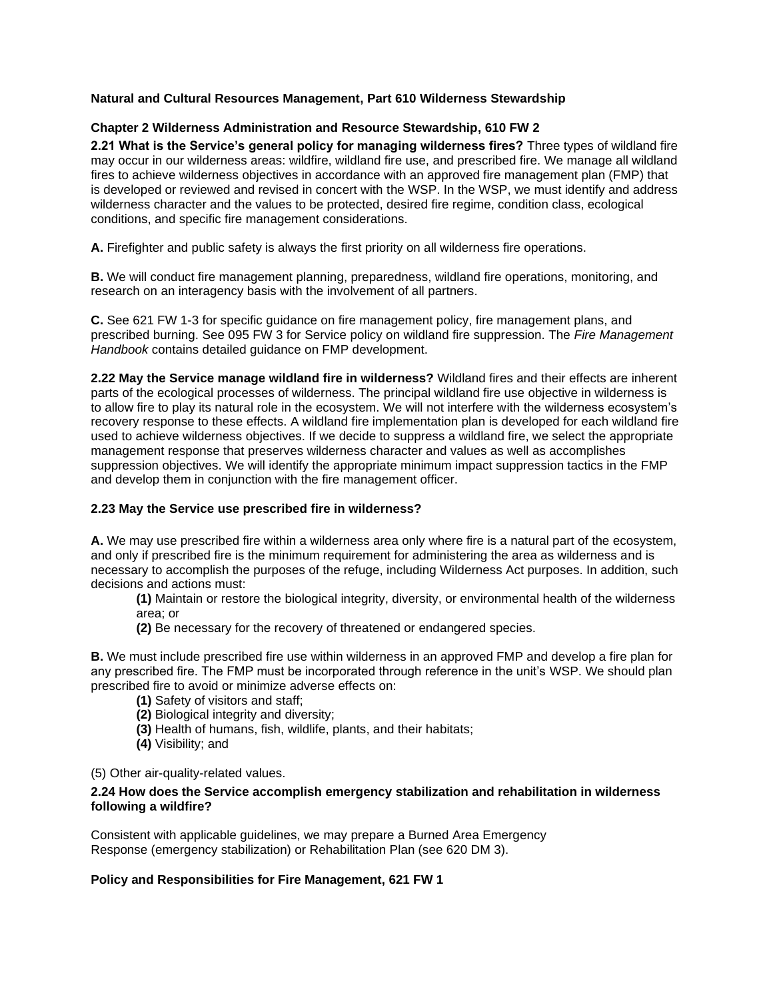# **Natural and Cultural Resources Management, Part 610 Wilderness Stewardship**

## **Chapter 2 Wilderness Administration and Resource Stewardship, 610 FW 2**

**2.21 What is the Service's general policy for managing wilderness fires?** Three types of wildland fire may occur in our wilderness areas: wildfire, wildland fire use, and prescribed fire. We manage all wildland fires to achieve wilderness objectives in accordance with an approved fire management plan (FMP) that is developed or reviewed and revised in concert with the WSP. In the WSP, we must identify and address wilderness character and the values to be protected, desired fire regime, condition class, ecological conditions, and specific fire management considerations.

**A.** Firefighter and public safety is always the first priority on all wilderness fire operations.

**B.** We will conduct fire management planning, preparedness, wildland fire operations, monitoring, and research on an interagency basis with the involvement of all partners.

**C.** See 621 FW 1-3 for specific guidance on fire management policy, fire management plans, and prescribed burning. See 095 FW 3 for Service policy on wildland fire suppression. The *Fire Management Handbook* contains detailed guidance on FMP development.

**2.22 May the Service manage wildland fire in wilderness?** Wildland fires and their effects are inherent parts of the ecological processes of wilderness. The principal wildland fire use objective in wilderness is to allow fire to play its natural role in the ecosystem. We will not interfere with the wilderness ecosystem's recovery response to these effects. A wildland fire implementation plan is developed for each wildland fire used to achieve wilderness objectives. If we decide to suppress a wildland fire, we select the appropriate management response that preserves wilderness character and values as well as accomplishes suppression objectives. We will identify the appropriate minimum impact suppression tactics in the FMP and develop them in conjunction with the fire management officer.

### **2.23 May the Service use prescribed fire in wilderness?**

**A.** We may use prescribed fire within a wilderness area only where fire is a natural part of the ecosystem, and only if prescribed fire is the minimum requirement for administering the area as wilderness and is necessary to accomplish the purposes of the refuge, including Wilderness Act purposes. In addition, such decisions and actions must:

 **(1)** Maintain or restore the biological integrity, diversity, or environmental health of the wilderness area; or

**(2)** Be necessary for the recovery of threatened or endangered species.

**B.** We must include prescribed fire use within wilderness in an approved FMP and develop a fire plan for any prescribed fire. The FMP must be incorporated through reference in the unit's WSP. We should plan prescribed fire to avoid or minimize adverse effects on:

- **(1)** Safety of visitors and staff;
- **(2)** Biological integrity and diversity;
- **(3)** Health of humans, fish, wildlife, plants, and their habitats;
- **(4)** Visibility; and

(5) Other air-quality-related values.

#### **2.24 How does the Service accomplish emergency stabilization and rehabilitation in wilderness following a wildfire?**

Consistent with applicable guidelines, we may prepare a Burned Area Emergency Response (emergency stabilization) or Rehabilitation Plan (see 620 DM 3).

### **Policy and Responsibilities for Fire Management, 621 FW 1**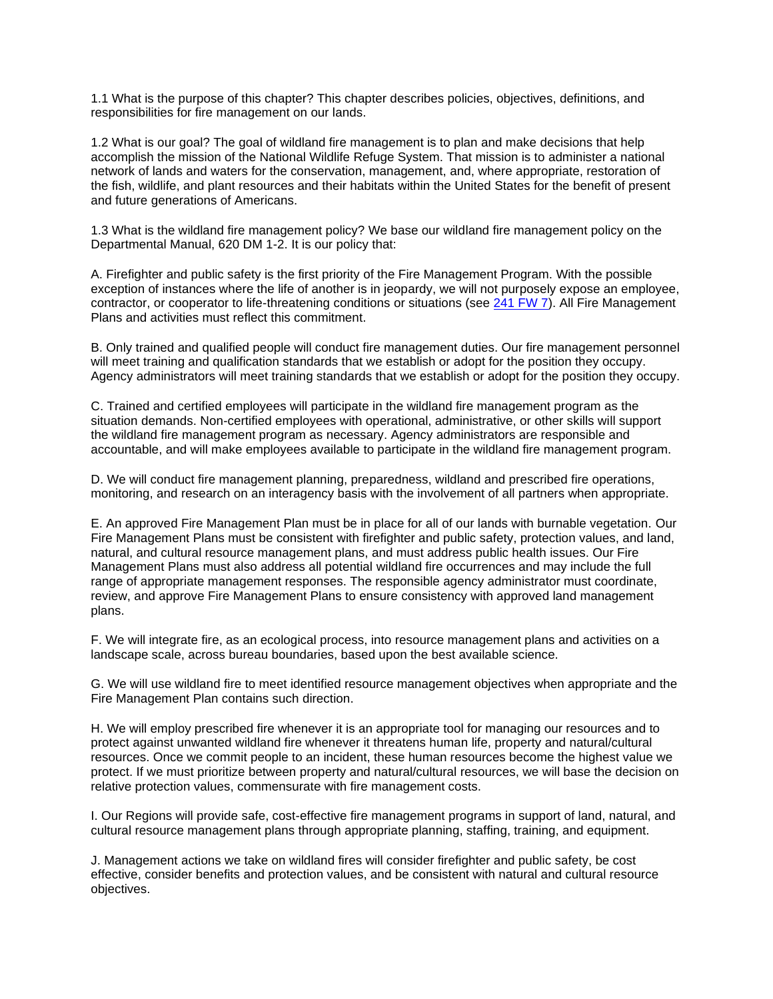1.1 What is the purpose of this chapter? This chapter describes policies, objectives, definitions, and responsibilities for fire management on our lands.

1.2 What is our goal? The goal of wildland fire management is to plan and make decisions that help accomplish the mission of the National Wildlife Refuge System. That mission is to administer a national network of lands and waters for the conservation, management, and, where appropriate, restoration of the fish, wildlife, and plant resources and their habitats within the United States for the benefit of present and future generations of Americans.

1.3 What is the wildland fire management policy? We base our wildland fire management policy on the Departmental Manual, 620 DM 1-2. It is our policy that:

A. Firefighter and public safety is the first priority of the Fire Management Program. With the possible exception of instances where the life of another is in jeopardy, we will not purposely expose an employee, contractor, or cooperator to life-threatening conditions or situations (see 241 FW 7). All Fire Management Plans and activities must reflect this commitment.

B. Only trained and qualified people will conduct fire management duties. Our fire management personnel will meet training and qualification standards that we establish or adopt for the position they occupy. Agency administrators will meet training standards that we establish or adopt for the position they occupy.

C. Trained and certified employees will participate in the wildland fire management program as the situation demands. Non-certified employees with operational, administrative, or other skills will support the wildland fire management program as necessary. Agency administrators are responsible and accountable, and will make employees available to participate in the wildland fire management program.

D. We will conduct fire management planning, preparedness, wildland and prescribed fire operations, monitoring, and research on an interagency basis with the involvement of all partners when appropriate.

E. An approved Fire Management Plan must be in place for all of our lands with burnable vegetation. Our Fire Management Plans must be consistent with firefighter and public safety, protection values, and land, natural, and cultural resource management plans, and must address public health issues. Our Fire Management Plans must also address all potential wildland fire occurrences and may include the full range of appropriate management responses. The responsible agency administrator must coordinate, review, and approve Fire Management Plans to ensure consistency with approved land management plans.

F. We will integrate fire, as an ecological process, into resource management plans and activities on a landscape scale, across bureau boundaries, based upon the best available science.

G. We will use wildland fire to meet identified resource management objectives when appropriate and the Fire Management Plan contains such direction.

H. We will employ prescribed fire whenever it is an appropriate tool for managing our resources and to protect against unwanted wildland fire whenever it threatens human life, property and natural/cultural resources. Once we commit people to an incident, these human resources become the highest value we protect. If we must prioritize between property and natural/cultural resources, we will base the decision on relative protection values, commensurate with fire management costs.

I. Our Regions will provide safe, cost-effective fire management programs in support of land, natural, and cultural resource management plans through appropriate planning, staffing, training, and equipment.

J. Management actions we take on wildland fires will consider firefighter and public safety, be cost effective, consider benefits and protection values, and be consistent with natural and cultural resource objectives.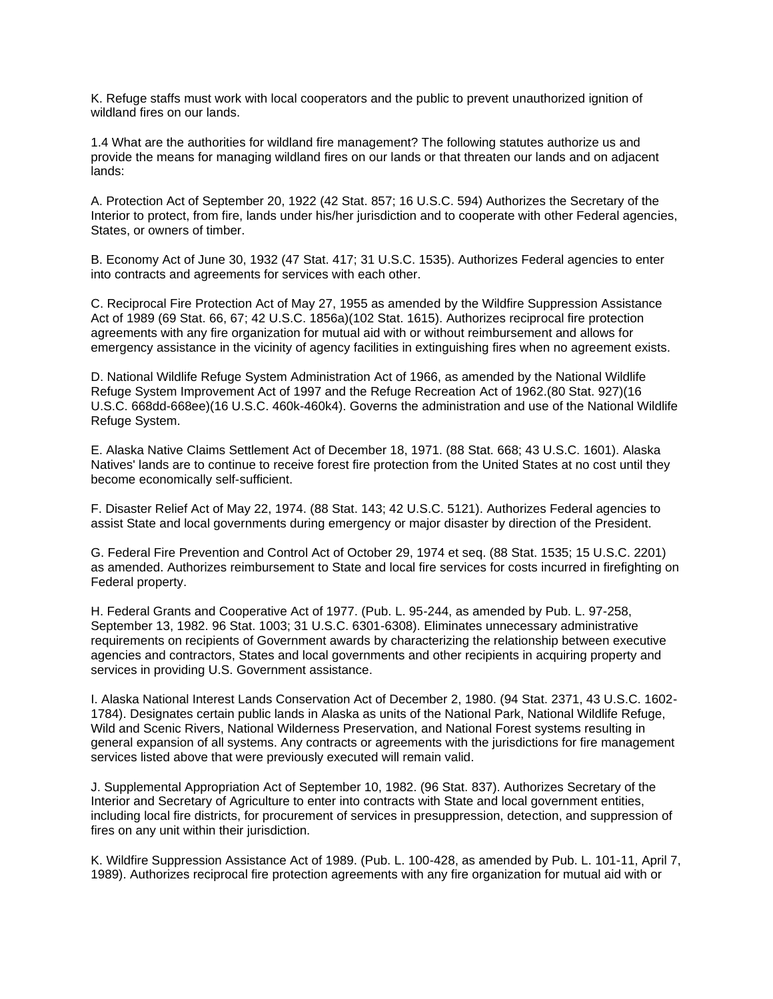K. Refuge staffs must work with local cooperators and the public to prevent unauthorized ignition of wildland fires on our lands.

1.4 What are the authorities for wildland fire management? The following statutes authorize us and provide the means for managing wildland fires on our lands or that threaten our lands and on adjacent lands:

A. Protection Act of September 20, 1922 (42 Stat. 857; 16 U.S.C. 594) Authorizes the Secretary of the Interior to protect, from fire, lands under his/her jurisdiction and to cooperate with other Federal agencies, States, or owners of timber.

B. Economy Act of June 30, 1932 (47 Stat. 417; 31 U.S.C. 1535). Authorizes Federal agencies to enter into contracts and agreements for services with each other.

C. Reciprocal Fire Protection Act of May 27, 1955 as amended by the Wildfire Suppression Assistance Act of 1989 (69 Stat. 66, 67; 42 U.S.C. 1856a)(102 Stat. 1615). Authorizes reciprocal fire protection agreements with any fire organization for mutual aid with or without reimbursement and allows for emergency assistance in the vicinity of agency facilities in extinguishing fires when no agreement exists.

D. National Wildlife Refuge System Administration Act of 1966, as amended by the National Wildlife Refuge System Improvement Act of 1997 and the Refuge Recreation Act of 1962.(80 Stat. 927)(16 U.S.C. 668dd-668ee)(16 U.S.C. 460k-460k4). Governs the administration and use of the National Wildlife Refuge System.

E. Alaska Native Claims Settlement Act of December 18, 1971. (88 Stat. 668; 43 U.S.C. 1601). Alaska Natives' lands are to continue to receive forest fire protection from the United States at no cost until they become economically self-sufficient.

F. Disaster Relief Act of May 22, 1974. (88 Stat. 143; 42 U.S.C. 5121). Authorizes Federal agencies to assist State and local governments during emergency or major disaster by direction of the President.

G. Federal Fire Prevention and Control Act of October 29, 1974 et seq. (88 Stat. 1535; 15 U.S.C. 2201) as amended. Authorizes reimbursement to State and local fire services for costs incurred in firefighting on Federal property.

H. Federal Grants and Cooperative Act of 1977. (Pub. L. 95-244, as amended by Pub. L. 97-258, September 13, 1982. 96 Stat. 1003; 31 U.S.C. 6301-6308). Eliminates unnecessary administrative requirements on recipients of Government awards by characterizing the relationship between executive agencies and contractors, States and local governments and other recipients in acquiring property and services in providing U.S. Government assistance.

I. Alaska National Interest Lands Conservation Act of December 2, 1980. (94 Stat. 2371, 43 U.S.C. 1602- 1784). Designates certain public lands in Alaska as units of the National Park, National Wildlife Refuge, Wild and Scenic Rivers, National Wilderness Preservation, and National Forest systems resulting in general expansion of all systems. Any contracts or agreements with the jurisdictions for fire management services listed above that were previously executed will remain valid.

J. Supplemental Appropriation Act of September 10, 1982. (96 Stat. 837). Authorizes Secretary of the Interior and Secretary of Agriculture to enter into contracts with State and local government entities, including local fire districts, for procurement of services in presuppression, detection, and suppression of fires on any unit within their jurisdiction.

K. Wildfire Suppression Assistance Act of 1989. (Pub. L. 100-428, as amended by Pub. L. 101-11, April 7, 1989). Authorizes reciprocal fire protection agreements with any fire organization for mutual aid with or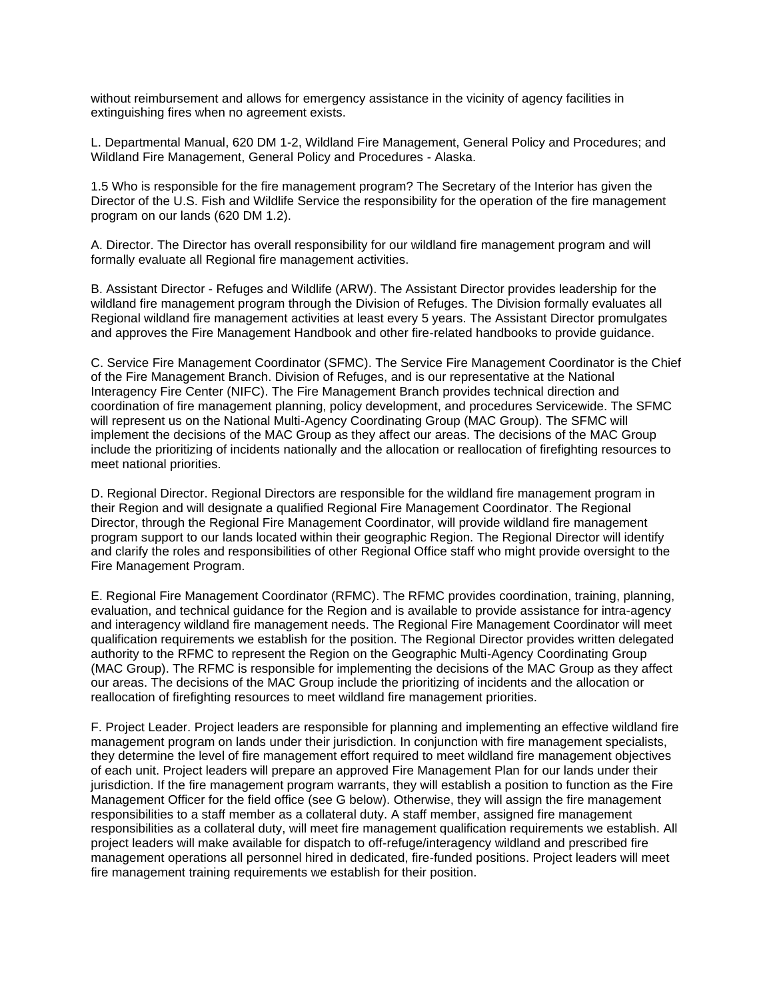without reimbursement and allows for emergency assistance in the vicinity of agency facilities in extinguishing fires when no agreement exists.

L. Departmental Manual, 620 DM 1-2, Wildland Fire Management, General Policy and Procedures; and Wildland Fire Management, General Policy and Procedures - Alaska.

1.5 Who is responsible for the fire management program? The Secretary of the Interior has given the Director of the U.S. Fish and Wildlife Service the responsibility for the operation of the fire management program on our lands (620 DM 1.2).

A. Director. The Director has overall responsibility for our wildland fire management program and will formally evaluate all Regional fire management activities.

B. Assistant Director - Refuges and Wildlife (ARW). The Assistant Director provides leadership for the wildland fire management program through the Division of Refuges. The Division formally evaluates all Regional wildland fire management activities at least every 5 years. The Assistant Director promulgates and approves the Fire Management Handbook and other fire-related handbooks to provide guidance.

C. Service Fire Management Coordinator (SFMC). The Service Fire Management Coordinator is the Chief of the Fire Management Branch. Division of Refuges, and is our representative at the National Interagency Fire Center (NIFC). The Fire Management Branch provides technical direction and coordination of fire management planning, policy development, and procedures Servicewide. The SFMC will represent us on the National Multi-Agency Coordinating Group (MAC Group). The SFMC will implement the decisions of the MAC Group as they affect our areas. The decisions of the MAC Group include the prioritizing of incidents nationally and the allocation or reallocation of firefighting resources to meet national priorities.

D. Regional Director. Regional Directors are responsible for the wildland fire management program in their Region and will designate a qualified Regional Fire Management Coordinator. The Regional Director, through the Regional Fire Management Coordinator, will provide wildland fire management program support to our lands located within their geographic Region. The Regional Director will identify and clarify the roles and responsibilities of other Regional Office staff who might provide oversight to the Fire Management Program.

E. Regional Fire Management Coordinator (RFMC). The RFMC provides coordination, training, planning, evaluation, and technical guidance for the Region and is available to provide assistance for intra-agency and interagency wildland fire management needs. The Regional Fire Management Coordinator will meet qualification requirements we establish for the position. The Regional Director provides written delegated authority to the RFMC to represent the Region on the Geographic Multi-Agency Coordinating Group (MAC Group). The RFMC is responsible for implementing the decisions of the MAC Group as they affect our areas. The decisions of the MAC Group include the prioritizing of incidents and the allocation or reallocation of firefighting resources to meet wildland fire management priorities.

F. Project Leader. Project leaders are responsible for planning and implementing an effective wildland fire management program on lands under their jurisdiction. In conjunction with fire management specialists, they determine the level of fire management effort required to meet wildland fire management objectives of each unit. Project leaders will prepare an approved Fire Management Plan for our lands under their jurisdiction. If the fire management program warrants, they will establish a position to function as the Fire Management Officer for the field office (see G below). Otherwise, they will assign the fire management responsibilities to a staff member as a collateral duty. A staff member, assigned fire management responsibilities as a collateral duty, will meet fire management qualification requirements we establish. All project leaders will make available for dispatch to off-refuge/interagency wildland and prescribed fire management operations all personnel hired in dedicated, fire-funded positions. Project leaders will meet fire management training requirements we establish for their position.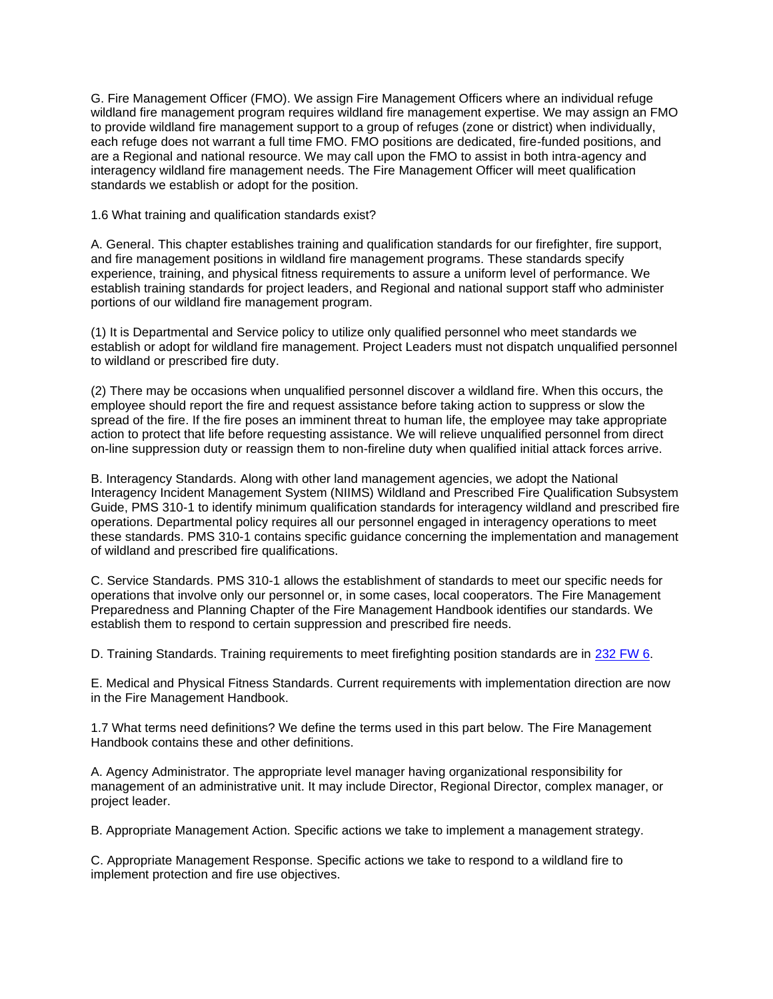G. Fire Management Officer (FMO). We assign Fire Management Officers where an individual refuge wildland fire management program requires wildland fire management expertise. We may assign an FMO to provide wildland fire management support to a group of refuges (zone or district) when individually, each refuge does not warrant a full time FMO. FMO positions are dedicated, fire-funded positions, and are a Regional and national resource. We may call upon the FMO to assist in both intra-agency and interagency wildland fire management needs. The Fire Management Officer will meet qualification standards we establish or adopt for the position.

1.6 What training and qualification standards exist?

A. General. This chapter establishes training and qualification standards for our firefighter, fire support, and fire management positions in wildland fire management programs. These standards specify experience, training, and physical fitness requirements to assure a uniform level of performance. We establish training standards for project leaders, and Regional and national support staff who administer portions of our wildland fire management program.

(1) It is Departmental and Service policy to utilize only qualified personnel who meet standards we establish or adopt for wildland fire management. Project Leaders must not dispatch unqualified personnel to wildland or prescribed fire duty.

(2) There may be occasions when unqualified personnel discover a wildland fire. When this occurs, the employee should report the fire and request assistance before taking action to suppress or slow the spread of the fire. If the fire poses an imminent threat to human life, the employee may take appropriate action to protect that life before requesting assistance. We will relieve unqualified personnel from direct on-line suppression duty or reassign them to non-fireline duty when qualified initial attack forces arrive.

B. Interagency Standards. Along with other land management agencies, we adopt the National Interagency Incident Management System (NIIMS) Wildland and Prescribed Fire Qualification Subsystem Guide, PMS 310-1 to identify minimum qualification standards for interagency wildland and prescribed fire operations. Departmental policy requires all our personnel engaged in interagency operations to meet these standards. PMS 310-1 contains specific guidance concerning the implementation and management of wildland and prescribed fire qualifications.

C. Service Standards. PMS 310-1 allows the establishment of standards to meet our specific needs for operations that involve only our personnel or, in some cases, local cooperators. The Fire Management Preparedness and Planning Chapter of the Fire Management Handbook identifies our standards. We establish them to respond to certain suppression and prescribed fire needs.

D. Training Standards. Training requirements to meet firefighting position standards are in 232 FW 6.

E. Medical and Physical Fitness Standards. Current requirements with implementation direction are now in the Fire Management Handbook.

1.7 What terms need definitions? We define the terms used in this part below. The Fire Management Handbook contains these and other definitions.

A. Agency Administrator. The appropriate level manager having organizational responsibility for management of an administrative unit. It may include Director, Regional Director, complex manager, or project leader.

B. Appropriate Management Action. Specific actions we take to implement a management strategy.

C. Appropriate Management Response. Specific actions we take to respond to a wildland fire to implement protection and fire use objectives.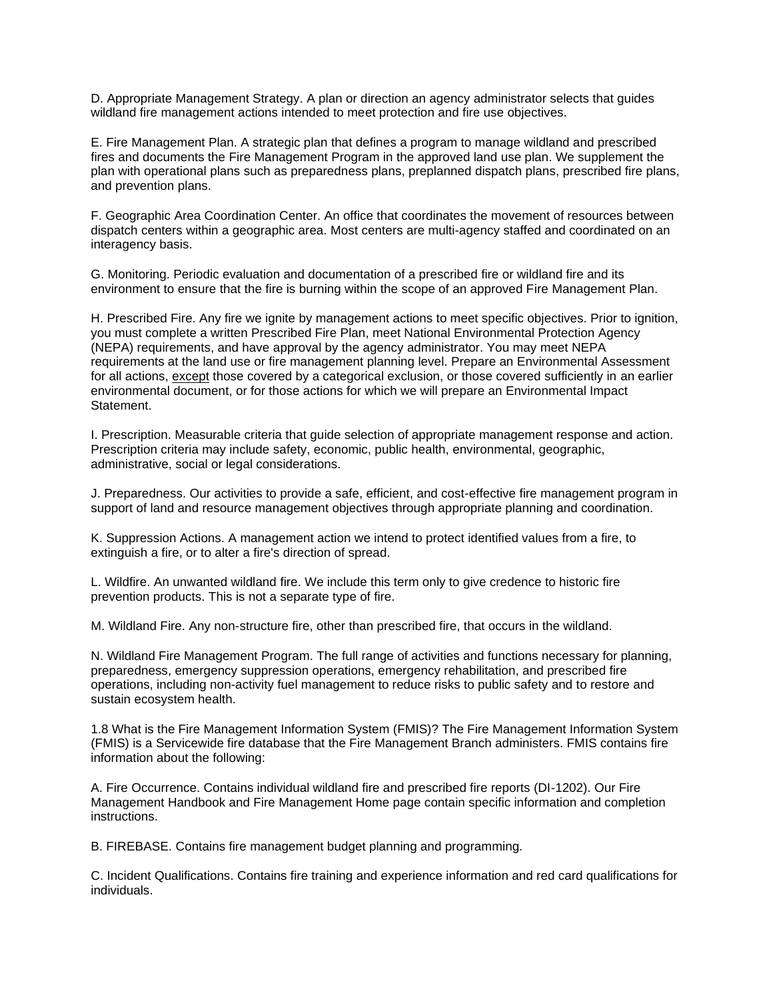D. Appropriate Management Strategy. A plan or direction an agency administrator selects that guides wildland fire management actions intended to meet protection and fire use objectives.

E. Fire Management Plan. A strategic plan that defines a program to manage wildland and prescribed fires and documents the Fire Management Program in the approved land use plan. We supplement the plan with operational plans such as preparedness plans, preplanned dispatch plans, prescribed fire plans, and prevention plans.

F. Geographic Area Coordination Center. An office that coordinates the movement of resources between dispatch centers within a geographic area. Most centers are multi-agency staffed and coordinated on an interagency basis.

G. Monitoring. Periodic evaluation and documentation of a prescribed fire or wildland fire and its environment to ensure that the fire is burning within the scope of an approved Fire Management Plan.

H. Prescribed Fire. Any fire we ignite by management actions to meet specific objectives. Prior to ignition, you must complete a written Prescribed Fire Plan, meet National Environmental Protection Agency (NEPA) requirements, and have approval by the agency administrator. You may meet NEPA requirements at the land use or fire management planning level. Prepare an Environmental Assessment for all actions, except those covered by a categorical exclusion, or those covered sufficiently in an earlier environmental document, or for those actions for which we will prepare an Environmental Impact Statement.

I. Prescription. Measurable criteria that guide selection of appropriate management response and action. Prescription criteria may include safety, economic, public health, environmental, geographic, administrative, social or legal considerations.

J. Preparedness. Our activities to provide a safe, efficient, and cost-effective fire management program in support of land and resource management objectives through appropriate planning and coordination.

K. Suppression Actions. A management action we intend to protect identified values from a fire, to extinguish a fire, or to alter a fire's direction of spread.

L. Wildfire. An unwanted wildland fire. We include this term only to give credence to historic fire prevention products. This is not a separate type of fire.

M. Wildland Fire. Any non-structure fire, other than prescribed fire, that occurs in the wildland.

N. Wildland Fire Management Program. The full range of activities and functions necessary for planning, preparedness, emergency suppression operations, emergency rehabilitation, and prescribed fire operations, including non-activity fuel management to reduce risks to public safety and to restore and sustain ecosystem health.

1.8 What is the Fire Management Information System (FMIS)? The Fire Management Information System (FMIS) is a Servicewide fire database that the Fire Management Branch administers. FMIS contains fire information about the following:

A. Fire Occurrence. Contains individual wildland fire and prescribed fire reports (DI-1202). Our Fire Management Handbook and Fire Management Home page contain specific information and completion instructions.

B. FIREBASE. Contains fire management budget planning and programming.

C. Incident Qualifications. Contains fire training and experience information and red card qualifications for individuals.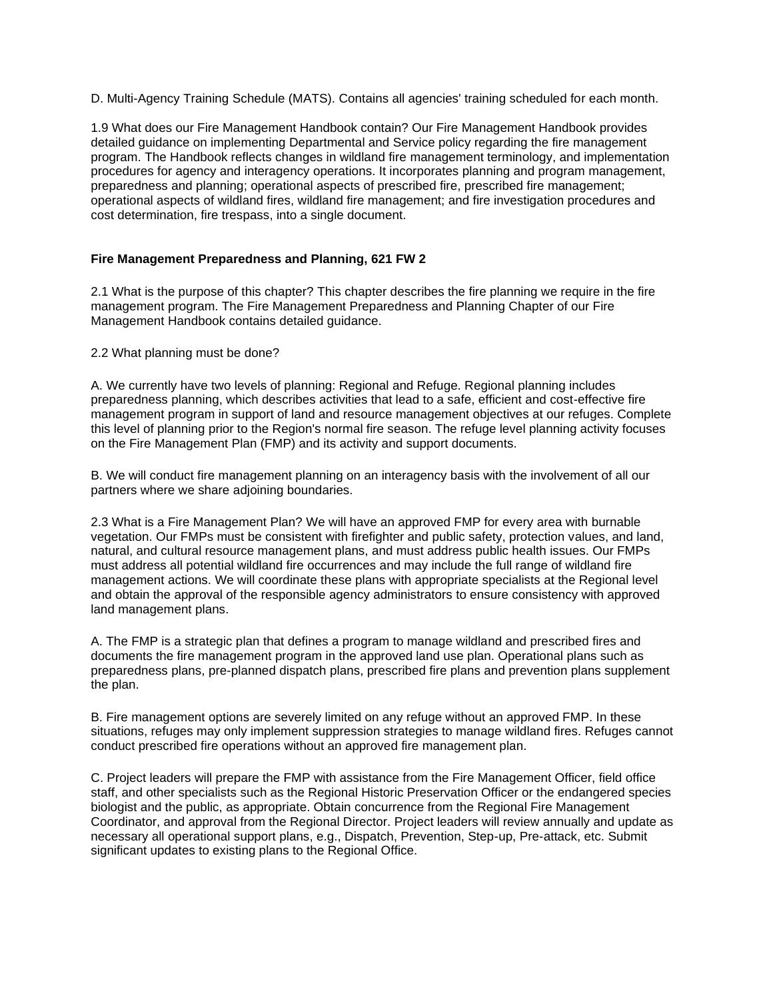D. Multi-Agency Training Schedule (MATS). Contains all agencies' training scheduled for each month.

1.9 What does our Fire Management Handbook contain? Our Fire Management Handbook provides detailed guidance on implementing Departmental and Service policy regarding the fire management program. The Handbook reflects changes in wildland fire management terminology, and implementation procedures for agency and interagency operations. It incorporates planning and program management, preparedness and planning; operational aspects of prescribed fire, prescribed fire management; operational aspects of wildland fires, wildland fire management; and fire investigation procedures and cost determination, fire trespass, into a single document.

# **Fire Management Preparedness and Planning, 621 FW 2**

2.1 What is the purpose of this chapter? This chapter describes the fire planning we require in the fire management program. The Fire Management Preparedness and Planning Chapter of our Fire Management Handbook contains detailed guidance.

2.2 What planning must be done?

A. We currently have two levels of planning: Regional and Refuge. Regional planning includes preparedness planning, which describes activities that lead to a safe, efficient and cost-effective fire management program in support of land and resource management objectives at our refuges. Complete this level of planning prior to the Region's normal fire season. The refuge level planning activity focuses on the Fire Management Plan (FMP) and its activity and support documents.

B. We will conduct fire management planning on an interagency basis with the involvement of all our partners where we share adjoining boundaries.

2.3 What is a Fire Management Plan? We will have an approved FMP for every area with burnable vegetation. Our FMPs must be consistent with firefighter and public safety, protection values, and land, natural, and cultural resource management plans, and must address public health issues. Our FMPs must address all potential wildland fire occurrences and may include the full range of wildland fire management actions. We will coordinate these plans with appropriate specialists at the Regional level and obtain the approval of the responsible agency administrators to ensure consistency with approved land management plans.

A. The FMP is a strategic plan that defines a program to manage wildland and prescribed fires and documents the fire management program in the approved land use plan. Operational plans such as preparedness plans, pre-planned dispatch plans, prescribed fire plans and prevention plans supplement the plan.

B. Fire management options are severely limited on any refuge without an approved FMP. In these situations, refuges may only implement suppression strategies to manage wildland fires. Refuges cannot conduct prescribed fire operations without an approved fire management plan.

C. Project leaders will prepare the FMP with assistance from the Fire Management Officer, field office staff, and other specialists such as the Regional Historic Preservation Officer or the endangered species biologist and the public, as appropriate. Obtain concurrence from the Regional Fire Management Coordinator, and approval from the Regional Director. Project leaders will review annually and update as necessary all operational support plans, e.g., Dispatch, Prevention, Step-up, Pre-attack, etc. Submit significant updates to existing plans to the Regional Office.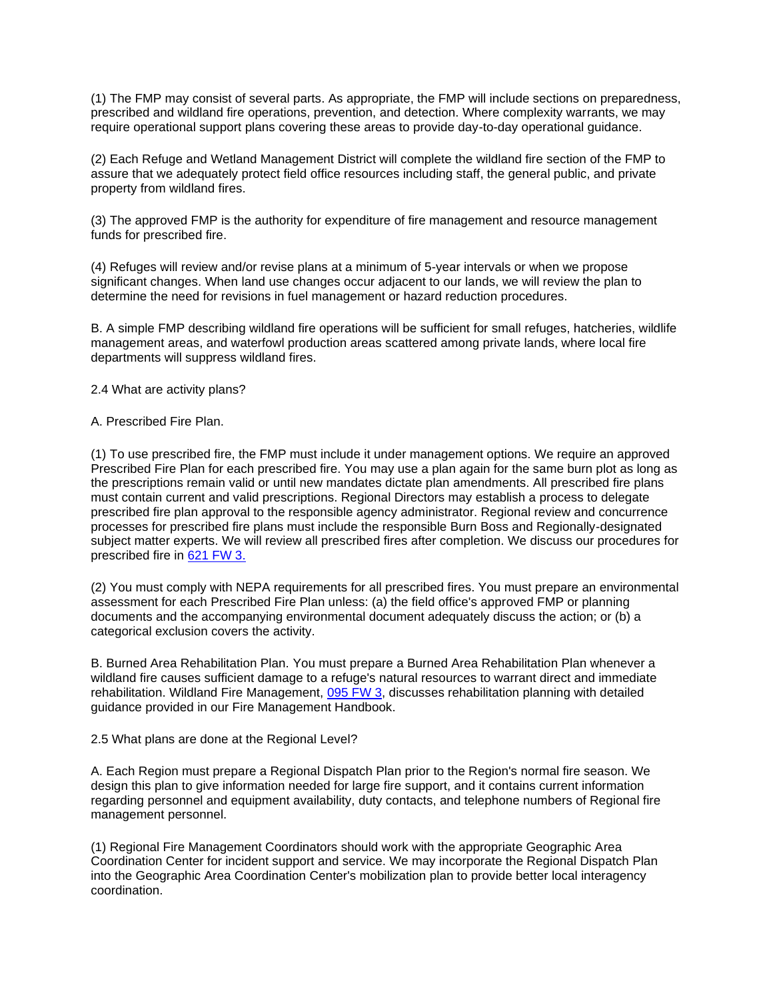(1) The FMP may consist of several parts. As appropriate, the FMP will include sections on preparedness, prescribed and wildland fire operations, prevention, and detection. Where complexity warrants, we may require operational support plans covering these areas to provide day-to-day operational guidance.

(2) Each Refuge and Wetland Management District will complete the wildland fire section of the FMP to assure that we adequately protect field office resources including staff, the general public, and private property from wildland fires.

(3) The approved FMP is the authority for expenditure of fire management and resource management funds for prescribed fire.

(4) Refuges will review and/or revise plans at a minimum of 5-year intervals or when we propose significant changes. When land use changes occur adjacent to our lands, we will review the plan to determine the need for revisions in fuel management or hazard reduction procedures.

B. A simple FMP describing wildland fire operations will be sufficient for small refuges, hatcheries, wildlife management areas, and waterfowl production areas scattered among private lands, where local fire departments will suppress wildland fires.

2.4 What are activity plans?

#### A. Prescribed Fire Plan.

(1) To use prescribed fire, the FMP must include it under management options. We require an approved Prescribed Fire Plan for each prescribed fire. You may use a plan again for the same burn plot as long as the prescriptions remain valid or until new mandates dictate plan amendments. All prescribed fire plans must contain current and valid prescriptions. Regional Directors may establish a process to delegate prescribed fire plan approval to the responsible agency administrator. Regional review and concurrence processes for prescribed fire plans must include the responsible Burn Boss and Regionally-designated subject matter experts. We will review all prescribed fires after completion. We discuss our procedures for prescribed fire in 621 FW 3.

(2) You must comply with NEPA requirements for all prescribed fires. You must prepare an environmental assessment for each Prescribed Fire Plan unless: (a) the field office's approved FMP or planning documents and the accompanying environmental document adequately discuss the action; or (b) a categorical exclusion covers the activity.

B. Burned Area Rehabilitation Plan. You must prepare a Burned Area Rehabilitation Plan whenever a wildland fire causes sufficient damage to a refuge's natural resources to warrant direct and immediate rehabilitation. Wildland Fire Management, 095 FW 3, discusses rehabilitation planning with detailed guidance provided in our Fire Management Handbook.

### 2.5 What plans are done at the Regional Level?

A. Each Region must prepare a Regional Dispatch Plan prior to the Region's normal fire season. We design this plan to give information needed for large fire support, and it contains current information regarding personnel and equipment availability, duty contacts, and telephone numbers of Regional fire management personnel.

(1) Regional Fire Management Coordinators should work with the appropriate Geographic Area Coordination Center for incident support and service. We may incorporate the Regional Dispatch Plan into the Geographic Area Coordination Center's mobilization plan to provide better local interagency coordination.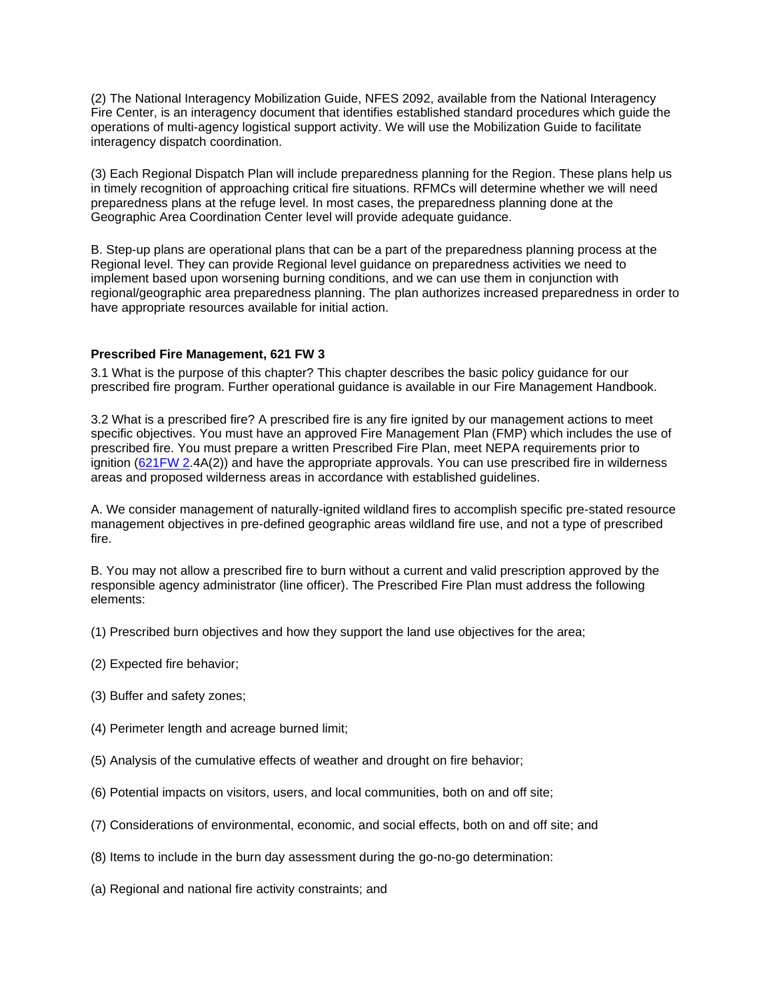(2) The National Interagency Mobilization Guide, NFES 2092, available from the National Interagency Fire Center, is an interagency document that identifies established standard procedures which guide the operations of multi-agency logistical support activity. We will use the Mobilization Guide to facilitate interagency dispatch coordination.

(3) Each Regional Dispatch Plan will include preparedness planning for the Region. These plans help us in timely recognition of approaching critical fire situations. RFMCs will determine whether we will need preparedness plans at the refuge level. In most cases, the preparedness planning done at the Geographic Area Coordination Center level will provide adequate guidance.

B. Step-up plans are operational plans that can be a part of the preparedness planning process at the Regional level. They can provide Regional level guidance on preparedness activities we need to implement based upon worsening burning conditions, and we can use them in conjunction with regional/geographic area preparedness planning. The plan authorizes increased preparedness in order to have appropriate resources available for initial action.

## **Prescribed Fire Management, 621 FW 3**

3.1 What is the purpose of this chapter? This chapter describes the basic policy guidance for our prescribed fire program. Further operational guidance is available in our Fire Management Handbook.

3.2 What is a prescribed fire? A prescribed fire is any fire ignited by our management actions to meet specific objectives. You must have an approved Fire Management Plan (FMP) which includes the use of prescribed fire. You must prepare a written Prescribed Fire Plan, meet NEPA requirements prior to ignition (621FW 2.4A(2)) and have the appropriate approvals. You can use prescribed fire in wilderness areas and proposed wilderness areas in accordance with established guidelines.

A. We consider management of naturally-ignited wildland fires to accomplish specific pre-stated resource management objectives in pre-defined geographic areas wildland fire use, and not a type of prescribed fire.

B. You may not allow a prescribed fire to burn without a current and valid prescription approved by the responsible agency administrator (line officer). The Prescribed Fire Plan must address the following elements:

(1) Prescribed burn objectives and how they support the land use objectives for the area;

- (2) Expected fire behavior;
- (3) Buffer and safety zones;
- (4) Perimeter length and acreage burned limit;
- (5) Analysis of the cumulative effects of weather and drought on fire behavior;
- (6) Potential impacts on visitors, users, and local communities, both on and off site;
- (7) Considerations of environmental, economic, and social effects, both on and off site; and
- (8) Items to include in the burn day assessment during the go-no-go determination:
- (a) Regional and national fire activity constraints; and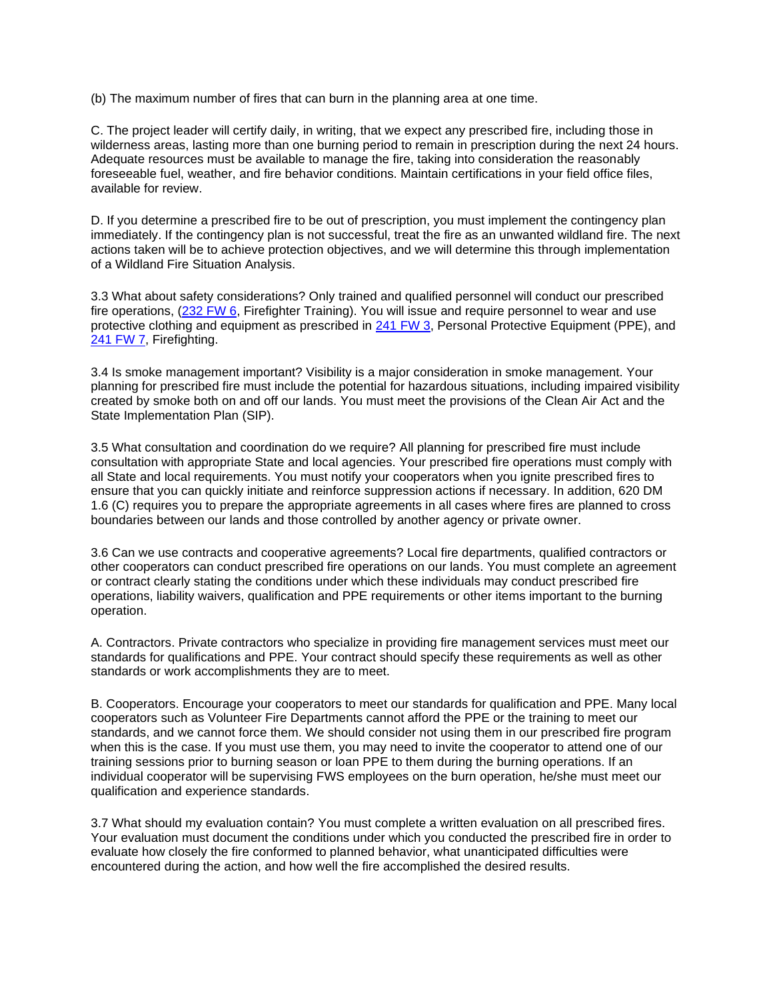(b) The maximum number of fires that can burn in the planning area at one time.

C. The project leader will certify daily, in writing, that we expect any prescribed fire, including those in wilderness areas, lasting more than one burning period to remain in prescription during the next 24 hours. Adequate resources must be available to manage the fire, taking into consideration the reasonably foreseeable fuel, weather, and fire behavior conditions. Maintain certifications in your field office files, available for review.

D. If you determine a prescribed fire to be out of prescription, you must implement the contingency plan immediately. If the contingency plan is not successful, treat the fire as an unwanted wildland fire. The next actions taken will be to achieve protection objectives, and we will determine this through implementation of a Wildland Fire Situation Analysis.

3.3 What about safety considerations? Only trained and qualified personnel will conduct our prescribed fire operations, (232 FW 6, Firefighter Training). You will issue and require personnel to wear and use protective clothing and equipment as prescribed in 241 FW 3, Personal Protective Equipment (PPE), and 241 FW 7, Firefighting.

3.4 Is smoke management important? Visibility is a major consideration in smoke management. Your planning for prescribed fire must include the potential for hazardous situations, including impaired visibility created by smoke both on and off our lands. You must meet the provisions of the Clean Air Act and the State Implementation Plan (SIP).

3.5 What consultation and coordination do we require? All planning for prescribed fire must include consultation with appropriate State and local agencies. Your prescribed fire operations must comply with all State and local requirements. You must notify your cooperators when you ignite prescribed fires to ensure that you can quickly initiate and reinforce suppression actions if necessary. In addition, 620 DM 1.6 (C) requires you to prepare the appropriate agreements in all cases where fires are planned to cross boundaries between our lands and those controlled by another agency or private owner.

3.6 Can we use contracts and cooperative agreements? Local fire departments, qualified contractors or other cooperators can conduct prescribed fire operations on our lands. You must complete an agreement or contract clearly stating the conditions under which these individuals may conduct prescribed fire operations, liability waivers, qualification and PPE requirements or other items important to the burning operation.

A. Contractors. Private contractors who specialize in providing fire management services must meet our standards for qualifications and PPE. Your contract should specify these requirements as well as other standards or work accomplishments they are to meet.

B. Cooperators. Encourage your cooperators to meet our standards for qualification and PPE. Many local cooperators such as Volunteer Fire Departments cannot afford the PPE or the training to meet our standards, and we cannot force them. We should consider not using them in our prescribed fire program when this is the case. If you must use them, you may need to invite the cooperator to attend one of our training sessions prior to burning season or loan PPE to them during the burning operations. If an individual cooperator will be supervising FWS employees on the burn operation, he/she must meet our qualification and experience standards.

3.7 What should my evaluation contain? You must complete a written evaluation on all prescribed fires. Your evaluation must document the conditions under which you conducted the prescribed fire in order to evaluate how closely the fire conformed to planned behavior, what unanticipated difficulties were encountered during the action, and how well the fire accomplished the desired results.